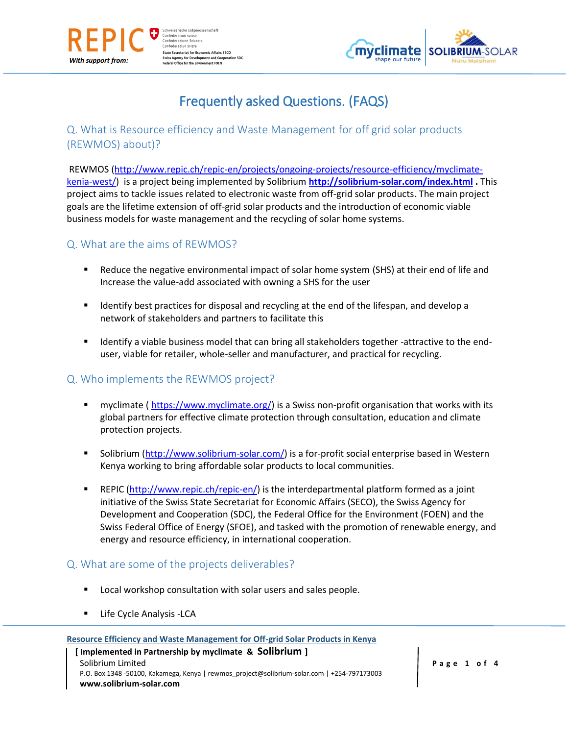



# Frequently asked Questions. (FAQS)

# Q. What is Resource efficiency and Waste Management for off grid solar products (REWMOS) about)?

REWMOS [\(http://www.repic.ch/repic-en/projects/ongoing-projects/resource-efficiency/myclimate](http://www.repic.ch/repic-en/projects/ongoing-projects/resource-efficiency/myclimate-kenia-west/)[kenia-west/\)](http://www.repic.ch/repic-en/projects/ongoing-projects/resource-efficiency/myclimate-kenia-west/) is a project being implemented by Solibrium **<http://solibrium-solar.com/index.html> .** This project aims to tackle issues related to electronic waste from off-grid solar products. The main project goals are the lifetime extension of off-grid solar products and the introduction of economic viable business models for waste management and the recycling of solar home systems.

# Q. What are the aims of REWMOS?

- Reduce the negative environmental impact of solar home system (SHS) at their end of life and Increase the value-add associated with owning a SHS for the user
- Identify best practices for disposal and recycling at the end of the lifespan, and develop a network of stakeholders and partners to facilitate this
- **■** Identify a viable business model that can bring all stakeholders together -attractive to the enduser, viable for retailer, whole-seller and manufacturer, and practical for recycling.

## Q. Who implements the REWMOS project?

- myclimate ( [https://www.myclimate.org/\)](https://www.myclimate.org/) is a Swiss non-profit organisation that works with its global partners for effective climate protection through consultation, education and climate protection projects.
- **•** Solibrium [\(http://www.solibrium-solar.com/\)](http://www.solibrium-solar.com/) is a for-profit social enterprise based in Western Kenya working to bring affordable solar products to local communities.
- **EXEC [\(http://www.repic.ch/repic-en/\)](http://www.repic.ch/repic-en/)** is the interdepartmental platform formed as a joint initiative of the Swiss State Secretariat for Economic Affairs (SECO), the Swiss Agency for Development and Cooperation (SDC), the Federal Office for the Environment (FOEN) and the Swiss Federal Office of Energy (SFOE), and tasked with the promotion of renewable energy, and energy and resource efficiency, in international cooperation.

#### Q. What are some of the projects deliverables?

- Local workshop consultation with solar users and sales people.
- **■** Life Cycle Analysis -LCA

#### **Resource Efficiency and Waste Management for Off-grid Solar Products in Kenya**

#### **[ Implemented in Partnership by myclimate & Solibrium ]** Solibrium Limited **P** a g e 1 of 4 P.O. Box 1348 -50100, Kakamega, Kenya | rewmos\_project@solibrium-solar.com | +254-797173003 **www.solibrium-solar.com**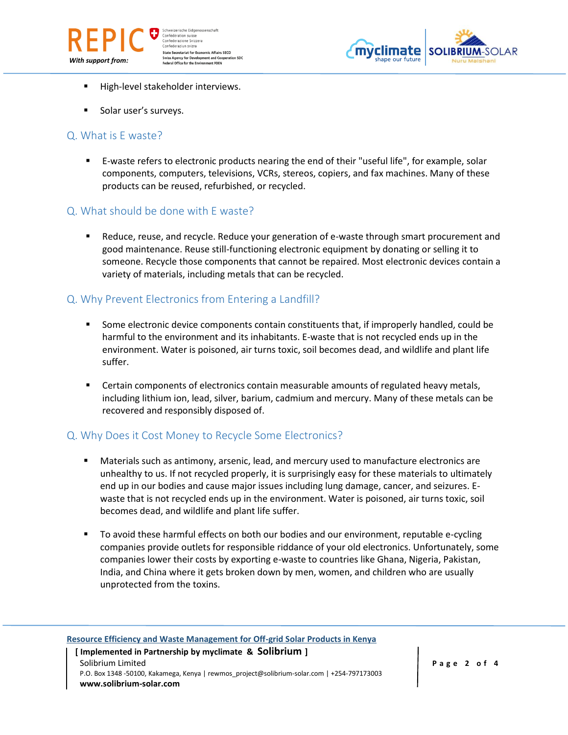

.<br>Chweizerische Eidgenoss Confédération suisse Confederazione Svizzera Confederaziun svizra **State Secretariat for Economic Affairs SECO Swiss Agency for Development and Cooperation SDC** Office for the Environment FOEN



- High-level stakeholder interviews.
- Solar user's surveys.

#### Q. What is E waste?

■ E-waste refers to electronic products nearing the end of their "useful life", for example, solar components, computers, televisions, VCRs, stereos, copiers, and fax machines. Many of these products can be reused, refurbished, or recycled.

#### Q. What should be done with E waste?

■ Reduce, reuse, and recycle. Reduce your generation of e-waste through smart procurement and good maintenance. Reuse still-functioning electronic equipment by donating or selling it to someone. Recycle those components that cannot be repaired. Most electronic devices contain a variety of materials, including metals that can be recycled.

#### Q. Why Prevent Electronics from Entering a Landfill?

- Some electronic device components contain constituents that, if improperly handled, could be harmful to the environment and its inhabitants. E-waste that is not recycled ends up in the environment. Water is poisoned, air turns toxic, soil becomes dead, and wildlife and plant life suffer.
- Certain components of electronics contain measurable amounts of regulated heavy metals, including lithium ion, lead, silver, barium, cadmium and mercury. Many of these metals can be recovered and responsibly disposed of.

## Q. Why Does it Cost Money to Recycle Some Electronics?

- Materials such as antimony, arsenic, lead, and mercury used to manufacture electronics are unhealthy to us. If not recycled properly, it is surprisingly easy for these materials to ultimately end up in our bodies and cause major issues including lung damage, cancer, and seizures. Ewaste that is not recycled ends up in the environment. Water is poisoned, air turns toxic, soil becomes dead, and wildlife and plant life suffer.
- To avoid these harmful effects on both our bodies and our environment, reputable e-cycling companies provide outlets for responsible riddance of your old electronics. Unfortunately, some companies lower their costs by exporting e-waste to countries like Ghana, Nigeria, Pakistan, India, and China where it gets broken down by men, women, and children who are usually unprotected from the toxins.

| Resource Efficiency and Waste Management for Off-grid Solar Products in Kenya              |
|--------------------------------------------------------------------------------------------|
| [Implemented in Partnership by myclimate & Solibrium ]                                     |
| Solibrium Limited                                                                          |
| P.O. Box 1348-50100, Kakamega, Kenya   rewmos project@solibrium-solar.com   +254-797173003 |

**www.solibrium-solar.com**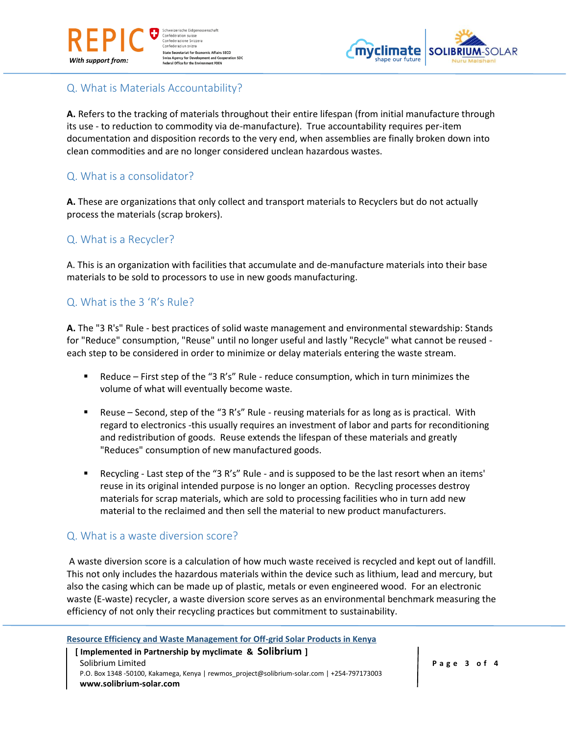

.<br>Chweizerische Eidgenossi Confédération suisse Confederazione Svizzera Confederaziun svizra **State Secretariat for Economic Affairs SECO Swiss Agency for Development and Cooperation SDC Office for the Environment FOEN** 



# Q. What is Materials Accountability?

**A.** Refers to the tracking of materials throughout their entire lifespan (from initial manufacture through its use - to reduction to commodity via de-manufacture). True accountability requires per-item documentation and disposition records to the very end, when assemblies are finally broken down into clean commodities and are no longer considered unclean hazardous wastes.

# Q. What is a consolidator?

**A.** These are organizations that only collect and transport materials to Recyclers but do not actually process the materials (scrap brokers).

## Q. What is a Recycler?

A. This is an organization with facilities that accumulate and de-manufacture materials into their base materials to be sold to processors to use in new goods manufacturing.

# Q. What is the 3 'R's Rule?

**A.** The "3 R's" Rule - best practices of solid waste management and environmental stewardship: Stands for "Reduce" consumption, "Reuse" until no longer useful and lastly "Recycle" what cannot be reused each step to be considered in order to minimize or delay materials entering the waste stream.

- Reduce First step of the "3 R's" Rule reduce consumption, which in turn minimizes the volume of what will eventually become waste.
- Reuse Second, step of the "3 R's" Rule reusing materials for as long as is practical. With regard to electronics -this usually requires an investment of labor and parts for reconditioning and redistribution of goods. Reuse extends the lifespan of these materials and greatly "Reduces" consumption of new manufactured goods.
- Recycling Last step of the "3 R's" Rule and is supposed to be the last resort when an items' reuse in its original intended purpose is no longer an option. Recycling processes destroy materials for scrap materials, which are sold to processing facilities who in turn add new material to the reclaimed and then sell the material to new product manufacturers.

## Q. What is a waste diversion score?

A waste diversion score is a calculation of how much waste received is recycled and kept out of landfill. This not only includes the hazardous materials within the device such as lithium, lead and mercury, but also the casing which can be made up of plastic, metals or even engineered wood. For an electronic waste (E-waste) recycler, a waste diversion score serves as an environmental benchmark measuring the efficiency of not only their recycling practices but commitment to sustainability.

**Resource Efficiency and Waste Management for Off-grid Solar Products in Kenya**

 **[ Implemented in Partnership by myclimate & Solibrium ]** Solibrium Limited **P** a g e 3 of 4 P.O. Box 1348 -50100, Kakamega, Kenya | rewmos\_project@solibrium-solar.com | +254-797173003 **www.solibrium-solar.com**